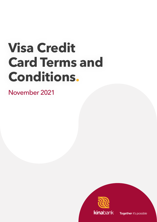# **Visa Credit Card Terms and Conditions.**

November 2021

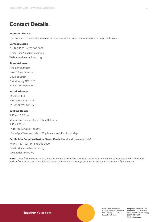# **Contact Details.**

#### **Important Notice**

This document does not contain all the pre-contractual information required to be given to you.

#### **Contact Details:**

Ph: 180 1525 +675 308 3800 E-mail: kina@kinabank.com.pg Web: www.kinabank.com.pg

# **Street Address:**

Kina Bank Limited Level 9 Kina Bank Haus Douglas Street Port Moresby NCD 121 PAPUA NEW GUINEA

# **Postal Address:**

P.O. Box 1141 Port Moresby NCD 121 PAPUA NEW GUINEA

#### **Banking Hours:**

8.45am - 3.00pm Monday to Thursday (excl. Public Holidays) 8.45 - 4.00pm Friday (excl. Public Holidays) 10am-2pm Weekend (Vision City Branch excl. Public Holidays)

# **Cardholder Enquiries/Lost or Stolen Cards:** (Local and Overseas Calls)

Phone: 180 1525 or +675 308 3800 E-mail: kina@kinabank.com.pg Swift code: KINIPGPG

**Note:** *Cards lost in Papua New Guinea or Overseas must be promptly reported to Kina Bank Call Centre via the telephone and/or fax number and e-mail listed above. All cards that are reported lost or stolen are automatically cancelled.*

Together it's possible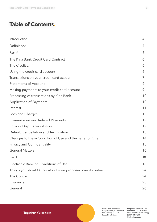# **Table of Contents.**

| Introduction                                               | 4  |
|------------------------------------------------------------|----|
| Definitions                                                | 4  |
| Part A                                                     | 6  |
| The Kina Bank Credit Card Contract                         | 6  |
| The Credit Limit                                           | 6  |
| Using the credit card account                              | 6  |
| Transactions on your credit card account                   | 7  |
| <b>Statements of Account</b>                               | 9  |
| Making payments to your credit card account                | 9  |
| Processing of transactions by Kina Bank                    | 10 |
| <b>Application of Payments</b>                             | 10 |
| Interest                                                   | 11 |
| Fees and Charges                                           | 12 |
| <b>Commissions and Related Payments</b>                    | 12 |
| Error or Dispute Resolution                                | 12 |
| Default, Cancellation and Termination                      | 13 |
| Changes to these Condition of Use and the Letter of Offer  | 14 |
| Privacy and Confidentiality                                | 15 |
| <b>General Matters</b>                                     | 16 |
| Part B                                                     | 18 |
| Electronic Banking Conditions of Use                       | 18 |
| Things you should know about your proposed credit contract | 24 |
| The Contract                                               | 24 |
| Insurance                                                  | 25 |
| General                                                    | 26 |

Level 9, Kina Bank Haus Douglas Street, PO Box 1141 Port Moresby NCD 121 Papua New Guinea

**Telephone** +675 308 3800 **Facsilmile** +675 308 3899 **Email** kina@kinabank.com.pg **SWIFT** KINIPGPG **kinabank.com.pg**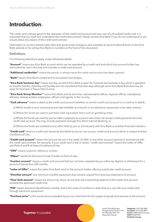# <span id="page-3-0"></span>**Introduction.**

The credit card contract governs the operation of the credit card account and your use of a Kina Bank credit card. It is important that you read and understand the credit card contract. Please contact Kina Bank if you do not understand or are unsure about any aspect of the credit card contract.

Information on current interest rates, fees and government charges is also available at any Kina Bank Branch on the Kina Bank website or by calling Kina Bank on numbers at the front of this document.

# Definitions

The following definitions apply unless otherwise stated:

**"Account"** means any Kina Bank account which can be operated by a credit card and which the account holder has nominated for use in this way and includes a credit card account.

**"Additional cardholder"** means the person in whose name the credit card account has been opened.

**"Bank"** means Kina Bank Limited and its successors and assigns.

**"Kina Bank business day"** means any day on which Kina Bank is open for business but excludes a day which is gazetted as a public holiday. Saturday and Sunday are not considered business days although some Kina Bank Branches may be open for business in Papua New Guinea.

**"Kina Bank Group Member"** means Kina Bank and its branches, representative offices, regional offices, subsidiaries, affiliates, related entities, employees, officers and agents, in the country.

**"Cash advance"** means a debit to the credit card account (whether or not the credit card account is in credit or in debit):

a) Which results in your receiving actual cash (whether at a branch or via electronic equipment or by other means);

b) Where the funds are used to purchase 'cash equivalent' items such as gambling chips;

c) Where the funds are used by you to make a payment to a person who does not accept credit payments from the credit card account. This may include payments through Kina Bank Internet Banking; or

d) Where the funds are credited to any other held by you or a third party with Kina Bank or another financial institution.

**"Credit card"** means a credit card issued by Kina Bank to you for use on your credit card account which is subject to these Conditions of Use.

**"Credit card account"** means the account set out in the Letter of Offer or any other account opened in accordance with this credit card contract, for example, if your credit card is lost or stolen. "credit card contract" means the Letter of Offer and Parts A and B of these Conditions of Use.

**"CRN"** means customer reference number.

**"Eftpos"** stands for Electronic Funds Transfer at Point of sale.

**"Inactive account"** means a credit card account that has not been operated by you either by deposit or withdrawal for a period of twenty-four (24) months.

**"Letter of Offer"** means the Letter Kina Bank send to the account holder offering a particular credit account.

**"Overdue amount"** any minimum monthly repayment that remains unpaid from previous statements of account.

**"Over limit amount"** means the amount by which, at any time, the outstanding balance of the credit card account exceeds the approved credit limit.

**"PIN"** means personal identification number, that is the code of numbers or letter that you use with your credit card through electronic equipment.

**"Purchase price"** is the actual amount payable by you to a merchant for the supply of goods and services or the amount

Together it's possible

Level 9, Kina Bank Haus Douglas Street, PO Box 1141 Port Moresby NCD 121 Papua New Guinea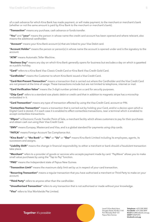of a cash advance for which Kina Bank has made payment, or will make payment, to the merchant or merchant's bank (whether or not the same amount is paid by Kina Bank to the merchant or merchant's bank).

**"Transaction"** means any purchase, cash advance or funds transfer.

**"You"** and **"your"** means the person in whose name the credit card account has been opened and where relevant, also means the additional cardholder.

 **"Account"** means your Kina Bank account (s) that are linked to your Visa Debit card.

**"Account Holder"** means the person or person(s) in whose name the account is opened under and is the signatory to the account.

**"ATM"** means Automatic Teller Machine.

**"Business Day"** means any day on which Kina Bank generally opens for business but excludes a day on which is gazetted as a public holiday.

**"Card"** refers to a Kina Bank Visa Classic Credit Card or Kina Bank Visa Credit Gold Card.

**"Cardholder"** means the Customer to whom Kina Bank issued a Visa Credit Card.

**"Card-Not-Present Transaction"** means a transaction that is carried out where the Cardholder and the Visa Credit Card are not present at the time of usage. These transactions include but are not limited to telephone, internet or mail.

**"Card Verification Value"** means the 3-digit number printed on a card for security purposes.

**"Chip Card"** refers to a standard size plastic debit or credit card that in addition to magnetic stripe has a microchip embedded in it.

**"Card Transaction"** means any type of transaction effected by using the Visa Credit Card, account or PIN.

**"Contactless Transaction"** means a transaction that is carried out by holding your Card, and/or a device upon which a Digital Card is stored, if in each case it is enabled to effect contactless transactions, near a terminal which is enabled to accept contactless transactions.

**"Eftpos"** is Electronic Funds Transfer Point of Sale, a merchant facility which allows customers to pay for their purchases and obtain cash out using their Visa Credit Card.

**"EMV"** means Europay, Mastercard and Visa, and is a global standard for payments using chip cards.

**"FATCA"** means Foreign Account Tax Compliance Act.

**"Kina Bank"** or **"the Bank"** or **"We"** or **"Us"** or **"Our"** means Kina Bank Limited including its employees, agents, its successors and assigns.

**"Liability Shift"** means the change in financial responsibility, to either a merchant or bank should a fraudulent transaction take place.

**"Merchant"** refers to a provider of goods or services who accepts payment made by card. "PayWave" allows you to make small value purchases by using the "Tap to Pay" function.

**"PNG"** means the Independent state of Papua New Guinea.

**"Transaction Limit"** means the maximum daily limit set by us in respect of your card transaction.

**"Recurring Transaction"** means a regular transaction that you have authorised a merchant or Third Party to make on your account.

**"Third Party"** refers to anyone other than the cardholder.

**"Unauthorised Transaction"** refers to any transaction that is not authorised or made without your knowledge.

**"Visa"** refers to Visa Worldwide Pte Limited.

Together it's possible

Level 9, Kina Bank Haus Douglas Street, PO Box 1141 Port Moresby NCD 121 Papua New Guinea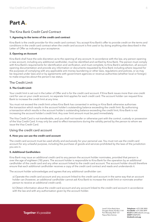# <span id="page-5-0"></span>**Part A.**

# The Kina Bank Credit Card Contract

#### **1. Agreeing to the terms of the credit card contract**

Kina Bank is the credit provider for this credit card contract. You accept Kina Bank's offer to provide credit on the terms and conditions in the credit card contract when the credit card account is first used or by doing anything else described in the Letter of Offer as indicating your acceptance.

# **2. Opening an Account**

Kina Bank shall have the sole discretion as to the opening of any account. In accordance with the law, any person opening a new account, including any additional cardholder, must be identified and verified by Kina Bank. The person must comply with Kina Bank's requirements for identification and verification, and must complete, to Kina Bank's satisfaction, all account opening documentation and provide any information or documents requested by Kina Bank including where required for the purposes of complying with any applicable anti-money laundering or other laws, regulations and policies, or as may be required under laws and or by agreements with government agencies or revenue authorities (whether local or foreign) to make enquiries about the person's tax status.

# The Credit Limit

# **3. The Credit Limit**

Your credit limit is set out in the Letter of Offer and is for the credit card account. If Kina Bank issues more than one credit card for use on your credit account, no separate limit applies for each credit card. The account holder can request Kina Bank to increase the credit limit at any time.

You must not exceed the credit limit unless Kina Bank has consented in writing or Kina Bank otherwise authorises the transaction which results in the account holder's outstanding balance exceeding the credit limit. By authorising a transaction which results in the account holder's outstanding balance exceeding the credit limit, Kina Bank is not increasing the account holder's credit limit. Any over limit amount must be paid immediately.

The Visa Credit Card is not transferable, and you shall not transfer or otherwise part with the control, custody or possession of the Visa Credit Card. It may only be used to effect transactions during the validity period by the person to whom we issue the Visa Credit Card.

# Using the credit card account

# **4. How you can use the credit card account**

The credit card account must be used wholly and exclusively for your personal use. You must not use the credit card account for any unlawful purpose, including the purchase of goods and services prohibited by the laws of the jurisdiction you are in.

# **5. Additional Cardholders**

Kina Bank may issue an additional credit card to any person the account holder nominates, provided that person is over the age of eighteen (18) years. The account holder is responsible to Kina Bank for the operation by an additional cardholder of the credit card and any other account linked to the credit card account. The account holder should therefore ensure that each additional cardholder receives a copy of the credit card contract and reads and understands it.

The account holder acknowledges and agrees that any additional cardholder can:

a) Operate the credit card account and any account linked to the credit card account in the same way that an account holder can (however, an additional cardholder cannot ask Kina Bank to increase the credit limit or nominate another person to receive an additional credit card).

b) Obtain information about the credit card account and any account linked to the credit card account in accordance with the law and with any authorisation given by the account holder.

Together it's possible

Level 9, Kina Bank Haus Douglas Street, PO Box 1141 Port Moresby NCD 121 Papua New Guinea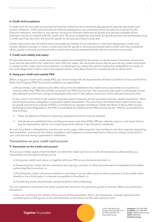#### <span id="page-6-0"></span>**6. Credit card acceptance**

A credit card will normally be honored by financial institutions and merchants displaying the appropriate credit card symbol. However, credit card promotional material displayed on any premises cannot be taken as a warrant by the financial institution, merchant or any person carrying on business there that all goods and services available at this premises may be purchased with the credit card. The price charged by merchants for goods and services purchased using a credit card may vary from the price for goods or services purchased using cash.

Unless required by law, Kina Bank does not accept any liability if any institution or merchant displaying a credit card symbol refuses to accept or honor a credit card and for goods or services purchased with a credit card. Any complaints about goods or services purchased with a credit card must be resolved directly with the merchant concerned.

#### **7. Credit card validity and expiry**

For security reasons, your credit card must be signed immediately by the person in whose name it has been issued and must only be used within the 'valid from' and 'until end' dates. You must also ensure that as soon as any credit card issued in relation to the credit card account expires, it is destroyed, by cutting the card (including the embedded microchip on the card) diagonally in half or return the expired card to a Kina Bank branch for assistance with its destruction.

#### **8. Using your credit card outside PNG**

When using your credit card outside PNG, you must comply with all requirements of these Conditions of Use and the Kina Bank Card Program PNG Terms and Conditions (as applicable).

a) All purchases, cash advances and other amounts to be debited to the credit card account that are incurred in a currency other than PNG Kina will be converted into PNG Kina by Visa. The conversion rate used is a wholesale market rate selected by Visa from a range of wholesale rates one (1) day before conversion of the relevant amount by Visa.

b) Your card is not meant to be used for business import, business service payment, business capital repatriation, other similar type business obligations or personal capital repatriation. The use of your Kina Bank Visa Credit Card to pay for goods and services outside of PNG is considered an overseas remittance. Under the Bank of Papua New Guinea Exchange Control Regulations, the PNG Central Bank Act 2000 and the PNG Income Tax Act 1959 (as amended from time to time);

- There are Balance of Payment reporting requirements which must be satisfied.
- Individuals are prohibited from remitting overseas more than K500, 000 per calendar year (or such lesser limit as may be imposed by law) for non-import payments without a Tax Clearance Certificate.

As such, Kina Bank is obligated to; monitor your card usage, make enquiries into remittance activities, request supporting documentation, and ensure the timely completion and lodgment of prescribed forms. Failure to comply could result in your card services being suspended or withdrawn.

# Transactions on your credit card account

#### **9. Transaction on the credit card account**

The account holder agrees that Kina Bank can debit the credit card account with all transactions authorized by you. Transactions can be authorised by you by:

a) Using your credit card, alone or together with your PIN, at any electronic terminal; or

b) Presenting your credit card to a merchant and signing a voucher or other documentation acceptable to Kina Bank authorising the transaction; or

c) Providing the credit card account details to merchant or to any other party to whom payment is to be made, either directly or via a third party, in a manner acceptable to Kina Bank; or

d) Transferring funds electronically using Kina Bank's Internet Banking.

You can authorise a transaction for either a particular amount or for particular goods or services. When you authorise a transaction:

a) You are confirming the validity of the amount of the transaction, that is, the transaction correctly represents the purchase price of the goods or services obtained, or the amount of the cash advance; and

Together it's possible

Level 9, Kina Bank Haus Douglas Street, PO Box 1141 Port Moresby NCD 121 Papua New Guinea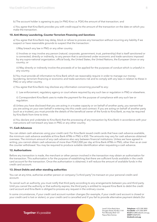b) The account holder is agreeing to pay (in PNG Kina i.e. PGK) the amount of that transaction; and

c) You agree that Kina Bank provides you with credit equal to the amount of the transaction on the date on which you make the transaction.

#### **10. Anti-Money Laundering, Counter Terrorism Financing and Sanctions**

a) You agree that Kina Bank may delay, block or refuse to process any transaction without incurring any liability if we suspect or have reasonable grounds to suspect that the transaction:

i) May breach any law in PNG or any other country.

ii) Involves or may involve any person (natural, corporate, government, trust, partnership) that is itself sanctioned or is connected, directly or indirectly, to any person that is sanctioned under economic and trade sanctions imposed by any supra-national organization, official body, the United States, the United Nations, the European Union or any country; or

iii) May directly or indirectly involve the proceeds of or be applied for the purposes of conduct which is unlawful in any country.

b) You must provide all information to Kina Bank which we reasonably require in order to manage our moneylaundering, terrorism-financing or economic and trade sanctions risk and to comply with any laws in relation to these in PNG or any other country.

c) You agree that Kina Bank may disclose any information concerning yourself to any:

i) Law enforcement, regulatory agency or court where required by any such law or regulation in PNG or elsewhere.

ii) Correspondent Kina Bank uses to make the payment for the purpose of compliance with any such law or regulation.

d) Unless you have disclosed that you are acting in a trustee capacity or on behalf of another party, you warrant that you are acting on your own behalf in entering into this credit card contract. If you are acting on behalf of another party (such as a trustee), you must provide the details of the beneficial owner of the funds to Kina Bank, as may be required by Kina Bank from time to time.

e) You declare and undertake to Kina Bank that the processing of any transaction by Kina Bank in accordance with your instructions will not breach any laws in PNG or any other country.

#### **11. Cash Advances**

You can obtain cash advances using your credit card. For Kina Bank issued credit cards that have cash advance available, the minimum cash advance available at Kina Bank ATMs in PNG is K50. The amounts may vary for cash advances obtained overseas. The minimum amount of any cash advance also vary between financial institutions. Unless we have agreed in writing, you cannot obtain cash advances of more than PGK2,000 per day at Kina Bank ATMs in PNG, other than as an over the counter withdrawal. You may be required to produce suitable identification when requesting a cash advance.

#### **12. Authorisations**

Before any transaction is made, the merchant or other person involved in the transaction may obtain an authorisation for the transaction. This authorisation is for the purpose of establishing that there are sufficient funds available in the credit card account for the transaction. Once the authorisation is obtained, it will reduce the amount of available funds in the credit card account.

#### **13. Direct Debits and other standing authorities**

You can at any time, authorise another person or company ("a third party") to transact on your personal credit card account.

To cancel such an authority, you must notify that third party according to any arrangements between you and third party. Until you cancel the authority or that authority expires, the third party is entitled to request Kina Bank to debit the credit card account and Kina Bank is obliged to process any request in the ordinary course.

In some circumstances, if your credit card account number changes (for example, if your credit card account is closed or your credit card is lost or stolen), or your credit card is cancelled and if you fail to provide alternative payment details (for

> Level 9, Kina Bank Haus Douglas Street, PO Box 1141 Port Moresby NCD 121 Papua New Guinea

**Telephone** +675 308 3800 **Facsilmile** +675 308 3899 **Email** kina@kinabank.com.pg **SWIFT** KINIPGPG **kinabank.com.pg**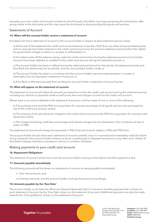<span id="page-8-0"></span>example, your new credit card account number) to the third party, Kina Bank may stop processing the transactions, after giving notice to the third party and this may cause the third party to stop providing the goods and services.

# Statements of Account

#### **14. When will the account holder receive a statement of account**

Kina Bank will mail a statement of account to the account holder in respect of each statement period unless:

a) At the end of the statement the credit card account balance is less than PGK10 (or any other limit prescribed by law) and no amounts have been entered on the credit card account since the previous statement period (other than debits for government charges or duties on receipts or withdrawals); or

b) Kina Bank wrote off the balance owing under the credit card contract during the statement period and no further amounts have been debited or credited on the credit card account during the statement period; or

c) The account holder has been in default during the statement period and for the last two (2) statement periods and Kina Bank has determined not to provide, and has not provided, further credit; or

d) The account holder has died or is insolvent and the account holder's personal representative or trustee in bankruptcy has not requested a statement of account; or

e) Kina Bank is otherwise excused from sending the account holder a statement of account by law.

#### **15. What will appear on the statement of account**

The statement of account will detail all amounts processed to or from the credit card account during the statement period, including any refunds or payments made as well as any fees and charges incurred on the credit card account.

Where there is an amount debited to the statement of account, it will be made of one or more of the following:

a) The purchase price (and the PNG Kina equivalent for overseas purchases) of all goods and services purchased by use of the credit card account; and/or

b) The amounts of all cash advances charged to the credit card account (and the PNG Kina equivalent for overseas cash advances); and/or

c) The charges (including credit fees and charges and interest charges) set out elsewhere in the Conditions of Use or Letter of Offer.

The statement of account will always be expressed in PNG Kina and must be settled in PNG with PNG Kina.

The account holder should check each statement of account carefully once it is received and immediately notify Kina Bank of any transaction the account holder believes to be an unauthorised or disputed transaction or any other error. Details of Kina Bank's dispute resolution procedure is set out in condition 30 below.

# Making payments to your credit card account

#### **16. Repayment Obligations**

The statement of account shows how much the account holder must pay to Kina Bank and when payment is due.

#### **17. Amounts payable immediately**

The following amounts will be shown on statements of account as being payable immediately:

- i) Over limit amounts; and
- ii) Overdue amounts; and the account holder must pay that amount accordingly.

#### **18. Amounts payable by the 'Due Date'**

The account holder must make the 'Minimum Payment Required' which is minimum monthly payment that is shown on each statement of account by the 'Due Date' shown on the statement of account. Additional payments can also be made towards the 'Closing Balance' shown on the statement of account.

> Level 9, Kina Bank Haus Douglas Street, PO Box 1141 Port Moresby NCD 121 Papua New Guinea

**Telephone** +675 308 3800 **Facsilmile** +675 308 3899 **Email** kina@kinabank.com.pg **SWIFT** KINIPGPG **kinabank.com.pg**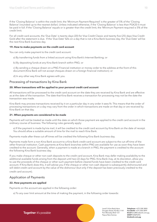<span id="page-9-0"></span>If the 'Closing Balance' is within the credit limit, the 'Minimum Payment Required' is the greater of 5% of the 'Closing Balance' (rounded up to the nearest dollar). Unless indicated otherwise, if the 'Closing Balance' is less than PGK20 it must be paid in full. If the 'Closing Balance' equals or is greater than the credit limit, the 'Minimum Payment required is 5% of the credit limit.

For all credit card accounts, the 'Due Date' is twenty days (20) for Visa Credit Classic and twenty five (25) days Visa Credit Gold after the statement is due. If the 'Due Date' falls on a day that is not a Kina Bank business day, the 'Due Date' will be the next Kina Bank business day.

#### **19. How to make payments on the credit card account**

You can only make payment to the credit card account:

- a) By transferring funds from a linked account using Kina Bank's Internet Banking; or
- b) By depositing funds at any Kina Bank branch within PNG; or

c) By sending a cheque drawn on a PNG Financial institution or money order to the address at the front of this document (Kina Bank will not accept cheques drawn on a foreign financial institution); or

d) In any other way Kina Bank agrees with you.

# Processing of transactions by Kina Bank

#### **20. When transactions will be applied to your personal credit card account**

All transactions will be processed to the credit card account on the date they are received by Kina Bank and are effective as at the date of the transaction. The date that Kina Bank receives a transaction for processing may not be the date the transaction was made.

Kina Bank may process transactions received by it on a particular day in any order it sees fit. This means that the order of processing transactions on a day may vary from the order in which transactions are made on that day or are received by Kina Bank on that day.

# **21. When payments are considered to be made**

Payments will not be treated as made until the date on which those payment are applied to the credit card account in the ordinary course of business. The following rules generally apply:

a) If the payment is made by/via mail, it will be credited to the credit card account by Kina Bank on the date of receipt. You should allow a suitable amount of time for the mail to reach Kina Bank.

Payments made after these cut off times will be credited the following Kina Bank business day.

Payments made form a non-Kina Bank account to a Kina Bank credit card account are subject to the cut off time of the other financial institution. Cash payments at Kina Bank branches within PNG are available for use as soon they have been credited to the account. Generally, when a payment is made at a branch in PNG, the payment is credited to the account the following Kina Bank business day.

If you make cheque or other non-cash deposits to the credit card account, Kina Bank may defer making availability to the additional available funds arising from the deposit until two (2) days for PNG. Kina Bank may, at its discretion, allow you to use the proceeds of the cheque or other such payment before cleared funds have been credited to the credit card account. If Kina Bank does this, it will advise you if the cheque or other non-cash deposit is subsequently dishonoured and will debit credit card account by the value of the dishonour (but only if the deposit has been previously credited to the credit card account).

# Application of Payments

# **22. How payments are applied**

Payments on the account are applied in the following order:

a) To any over limit amount at the time of making the payment, in the following order towards:

Together it's possible

Level 9, Kina Bank Haus Douglas Street, PO Box 1141 Port Moresby NCD 121 Papua New Guinea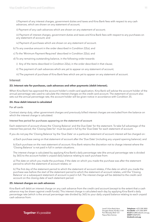<span id="page-10-0"></span>i) Payment of any interest charges, government duties and taxes and Kina Bank fees with respect to any cash advances, which are shown on any statement of account;

ii) Payment of any cash advances which are shown on any statement of account;

iii) Payment of interest charges, government duties and taxes and Kina Bank fees with respect to any purchases on any statement of account; and

iv) Payment of purchases which are shown on any statement of account.

b) To any overdue amount in the order described in Condition 22(a); and

c) To the 'Minimum Payment Required' described in Condition 22(a); and

d) To any remaining outstanding balance, in the following order towards:

i) Any of the items described in Condition 22(a), in the order described in that clause;

ii) The payment of cash advances which are yet to appear on any statement of account;

iii) The payment of purchase of Kina Bank fees which are yet to appear on any statement of account.

# Interest

#### **23. Interest rate for purchases, cash advances and other payments (debit interest).**

When Kina Bank has approved the account holder's credit card application, Kina Bank will advise the account holder of the annual percentage rate used to calculate the interest charges on the credit card account. The statement of account also sets out the annual percentage rate, the account holder will be given notice in accordance with Condition 35.

#### **24. How debit interest is calculated**

#### For all cards

Contract stamp duty, other government charges and previously billed interest charges are excluded from the balance on which the interest charge is calculated.

#### Interest free period for purchases appearing on the statement of account

Each statement of account shows the 'Closing Balance' and the Due Date' for the statement. To take full advantage of the interest free period, the 'Closing Date for' must be paid in full by the 'Due Date' for each statement of account.

If you do not pay the 'Closing Balance' by the 'Due Date' on a particular statement of account interest will be charged on:

a) Each purchase owing on that statement of account after the 'Due Date' (including any unpaid opening balance); and

b) Each purchase on the next statement of account. Kina Bank retains the discretion not to charge interest where the 'Closing Balance' is not paid in full in certain situations.

The interest charge is calculated by applying Kina Bank's daily percentage rate (the annual percentage rate is divided by 365) to the account holder's unpaid daily balance relating to each purchase from:

a) The date on which you made the purchase, if the date on which you made the purchase was after the statement period to which the statement of account relates; or

b) The first day of the statement period to which the statement of account relates, if the date on which you made the purchase was before the start of the statement period to which the statement of account relates, until the 'Closing Balance' on a subsequent statement of account is paid in full. The interest charge will be debited to the credit card account on the closing date of each statement period.

#### **25. Interest charges on cash advances**

Kina Bank will debit an interest charge on any cash advance from the credit card account (except to the extent that a cash advance may be drawn against credit funds). This interest charge is calculated each day by applying Kina Bank's daily percentage rate (which is the annual percentage rate divided by 365) to your daily unpaid balance relating to each unpaid cash advance from:

Together it's possible

Level 9, Kina Bank Haus Douglas Street, PO Box 1141 Port Moresby NCD 121 Papua New Guinea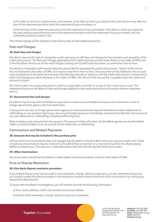<span id="page-11-0"></span>a) The date on which you obtained the cash advance, if the date on which you obtained the cash advance was after the start of the statement period to which the statement of account relates; or

b) The first day of the statement period to which the statement of account relates, if the date on which you obtained the cash advance was before the start of the statement period to which the statement of account relates, until the outstanding balance is paid in full.

The interest charge will be debited on the closing date of each statement period.

# Fees and Charges

# **26. Bank fees and charges**

Kina Bank reserves the right to charge the credit card account with fees and charges for the provision and operation of the credit card account. The fees and charges applicable to the credit card account are those shown in the Letter of Offer and in the Kina Bank Disclosure of Fees and Charges Lending and Credit Cards document, as varied from time to time.

Kina Bank is irrevocably authorised to debit any annual fee for operating the credit card account. Details of the annual fee are disclosed in the Letter of Offer and may be varied from time to time. The annual fee will be debited to the account upon acceptance of the credit card contract and after that annually in advance until the credit card account is closed and is paid in full (except provided otherwise in the Letter of Offer). No refund of the annual fee is payable when the credit card account is closed.

Kina Bank is also irrevocably authorised to debit any applicable credit fee or charge to the credit card account. The statement of account will detail all fees and charges applied to the credit card account during the relevant statement period.

# **27. Government fees and charges**

Kina Bank may be required to withhold on payments to certain account holders and pass such amounts to a local or foreign government agency with such authorities.

If at any time any local or foreign government agency or revenue authority requires Kina Bank to make a deduction or withholding on any payment due to you, the account holder agrees to immediately reimburse Kina Bank for the amount of any such deduction or withholding, including authorising Kina.

Bank to deduct such amounts from the account. The account holder will indemnify Kina Bank against any loss Kina Bank suffers or cost Kina Bank incurs as a result of such deduction or withholding.

# Commissions and Related Payments

# **28. Amounts that may be included in the purchase price**

Various amount of commissions, fees and charges may be paid to or by Kina Bank when you use your credit card. These include any amount which may be received by Kina Bank from a merchant or a merchant's bank for Kina Bank paying debts incurred by you. This amount is unascertainable at the time of entering the credit card contact.

# **29. Other Commissions**

Any commission earned by Kina Bank on credit related insurance products is set out in the Letter of Offer.

# Error or Dispute Resolution

# **30. Kina Bank dispute resolution procedure**

If you believe that an error has occurred in any transaction, charge, refund or payment, or on the statement of account, you should contact Kina Bank promptly on the telephone numbers listed at the front of this document or by visiting your nearest Kina Bank branch.

To assist with Kina Bank's investigations, you will need to provide the following information:

- a) Your name, address, credit card number and account details.
- b) Details of the transaction, charge, refund or payment in question.

Together it's possible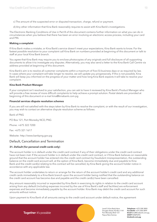- <span id="page-12-0"></span>c) The amount of the suspected error or disputed transaction, charge, refund or payment.
- d) Any other information that Kina Bank reasonably requires to assist with Kina Bank's investigations.

The Electronic Banking Conditions of Use in Part B of this document contains further information on what you can do in circumstances when you believe that there has been an error involving an electronic access process, including your card and PIN.

#### **Making a complaint**

If Kina Bank makes a mistake, or Kina Bank's service doesn't meet your expectations, Kina Bank wants to know. For the fastest possible resolution to your complaint call Kina Bank on numbers provided at beginning of this document or talk to staff at your local Kina Bank branch.

You agree that Kina Bank may require you to enclose photocopies of any originals and full disclosure of all supporting documents to allow it to investigate any disputes. Alternatively, you may also send a letter to the Kina Bank Call Centre via address provided at beginning of this document.

Kina Bank's aim is to resolve all customer complaints within a maximum of five (5) business days or as required by law. In cases where your complaint will take longer to resolve, we will update you progressively. If this is not possible, Kina Bank will keep you informed on the progress of your matter and how long Kina Bank expects it will take to resolve your complaint.

#### **Kina Bank Product Manager**

If your complaint isn't resolved to your satisfaction, you can ask to have it reviewed by Kina Bank's Product Manager who will provide a free review of more difficult complaints to help achieve a prompt solution. Postal details are provided at beginning of this document or e-mail kina@kinabank.com.pg

#### **Financial services dispute resolution schemes**

If you are still not satisfied with the steps taken by Kina Bank to resolve the complaint, or with the result of our investigation, you may wish to contact an alternative dispute resolution scheme as follows:

Bank of PNG

PO Box 121, Port Moresby NCD, PNG

Phone: +675 322 7200

Fax: +675 321 1617

Website: http://www.bankpng.gov.pg

# Default, Cancellation and Termination

# **31. Default (for personal credit cards only)**

The account holder is in default under the credit card contract if any of their obligations under the credit card contract have not been met. If the account holder is in default under the credit card contract, or if Kina Bank believes on reasonable ground that the account holder has entered into the credit card contract by fraudulent misrepresentation, the outstanding balance on the credit card account will, at the option of Kina Bank, become immediately due and payable to Kina Bank and the credit card(s) relating to this contract will be cancelled, by Kina Bank giving the account holder notice in accordance with any applicable law.

The account holder undertakes to return or arrange for the return of the account holder's credit card and any additional credit cards immediately to a Kina Bank branch upon the account holder being notified that the outstanding balance on the credit card account has become due and payable and the credit card(s) have been cancelled.

Any amount reasonably incurred or expended by Kina Bank in exercising its rights in relation to the credit card account arising from any default (including expenses incurred by the use of Kina Bank's staff and facilities) are enforcement expenses and become immediately payable by the account holder. Kina Bank may debit the credit card account for such amounts without notice.

Upon payment to Kina Bank of all amounts owing to the credit card account under default notice, the agreement

Together it's possible

Level 9, Kina Bank Haus Douglas Street, PO Box 1141 Port Moresby NCD 121 Papua New Guinea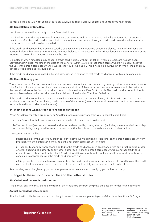<span id="page-13-0"></span>governing the operation of the credit card account will be terminated without the need for any further notice.

#### **32. Cancellation by Kina Bank**

Credit cards remain the property of Kina Bank at all times.

Kina Bank reserves the right to cancel a credit card at any time without prior notice and will provide notice as soon as practicable after the credit card is cancelled. If the credit card account is closed, all credit cards issued in relation to that credit card account will also be cancelled.

If the credit card account has a positive (credit) balance when the credit card account is closed, Kina Bank will send the account holder a bank cheque for the closing credit balance of the account (unless those funds have been remitted or are required to be withheld in accordance with the law).

Examples of when Kina Bank may cancel a credit card include, without limitation, where a credit card has not been activated within six (6) months of the date of the Letter of Offer relating to that credit card or where Kina Bank believes the use of the credit card account will cause loss to you or Kina Bank. This is not an exhaustive list of when Kina Bank may cancel a credit card and is a guide only.

If the credit card account is closed, all credit cards issued in relation to that credit card account will also be cancelled.

#### **33. Cancellation by you**

The account holder for personal credit cards may close the credit card account at any time by making a written request to Kina Bank for closure of the credit card account or cancellation of that credit card. Written requests should be mailed to the postal address at the front of this document or submitted to any Kina Bank branch. The credit card account holder is responsible to destroy the cancelled credit card(s) as outlined under Condition 34 below.

If the credit card account has a credit balance when the credit card account is closed, Kina Bank will send the account holder a bank cheque for the closing credit balance of the account (unless those funds have been remitted or are required to be withheld in accordance with the law).

#### **34. What happens when a credit card has been cancelled?**

When Kina Bank cancel's a credit card or Kina Bank receives instructions from you to cancel a credit card:

- a) Kina Bank will write to confirm cancellation details with the account holder; and
- b) The credit card(s) must not be used and must be destroyed by cutting the card (including the embedded microchip on the card) diagonally in half or return the card to a Kina Bank branch for assistance with its destruction.

The account holder will be:

i) Responsible for the use of any credit card (including every additional credit card) on the credit card account from provision of cancellation advice to Kina Bank until credit card account is closed;

ii) Responsible for any transactions debited to the credit card account in accordance with any direct debit requests or other outstanding authority or any other authorised link to the credit card account, from another credit card issued to you by Kina Bank, a Kina Bank Card, Internet Banking or Mobile Banking until the request or authority is cancelled in accordance with the credit card contract; and

iii) Responsible to continue to make payments to the credit card account in accordance with conditions of the credit card contract until monies owed under credit card account are fully repaid and account can be closed.

Any standing authority given by you to other parties must be cancelled directly by you with other party.

# Changes to these Condition of Use and the Letter of Offer

# **35. Variation of the credit card contract**

Kina Bank at any time may change any term of the credit card contract by giving the account holder notice as follows.

#### **Annual percentage rate changes**

Kina Bank will notify the account holder of any increase in the annual percentage rate(s) no later than thirty (30) days

Level 9, Kina Bank Haus Douglas Street, PO Box 1141 Port Moresby NCD 121 Papua New Guinea

**Telephone** +675 308 3800 **Facsilmile** +675 308 3899 **Email** kina@kinabank.com.pg **SWIFT** KINIPGPG **kinabank.com.pg**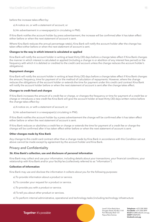<span id="page-14-0"></span>before the increase takes effect by:

- a) A notice on, or with a statement of account; or
- b) An advertisement in a newspaper(s) in circulating in PNG.

If Kina Bank notifies the account holder by press advertisement, the increase will be confirmed after it has taken effect either before or when the next statement of account is sent.

Where Kina Bank reduces the annual percentage rate(s), Kina Bank will notify the account holder after the change has taken effect either before or when the next statement of account is sent.

#### **Changes to the way in which interest is calculated or applied**

Kina Bank will notify the account holder in writing at least thirty (30) days before a change takes effect if Kina Bank changes the manner in which interest is calculated or applied (including a change in or abolition of any interest free period) or the frequency with which it is debited or credited to the credit card account unless the change reduces the account holder's obligations).

#### **Repayment changes**

Kina Bank will notify the account holder in writing at least thirty (30) days before a change takes effect if Kina Bank changes the amount, frequency, time for payment of or the method of calculation of repayments. However, where the change reduces the obligations of the account holder or extends the time for payment under this credit card contract Kina Bank will notify the account holder before or when the next statement of account is sent after the change takes effect.

#### **Changes to credit feed and charges**

If Kina Bank increases the amount of a credit fee or charge, or changes the frequency or time for payment of a credit fee or charge or introduces a new credit fee Kina Bank will give the account holder at least thirty (30) days written notice before the change takes effect by:

- a) A notice on, or with a statement of account; or
- b) An advertisement in a newspaper(s) circulating in PNG.

If Kina Bank notifies the account holder by a press advertisement the change will be confirmed after it has taken effect either before or when the next statement of account is sent.

If Kina Bank reduces or abolishes a credit fee or charge or extends the time for payment of a credit fee or charge the change will be confirmed after it has taken effect either before or when the next statement of account is sent.

#### **Other changes made by Kina Bank**

Any change to this credit card contract other than a change made by Kina Bank in accordance with this Condition set out above cannot be made except by agreement by the account holder and Kina Bank.

# Privacy and Confidentiality

#### **36. Kina Bank's collection, use and disclosure of personal information**

Kina Bank may collect and use your information, including details about your transactions, your financial conditions, your relationship with Kina Bank and/or your facility/ies (collectively referred to as "information").

#### **Collection of Information**

Kina Bank may use and disclose the information it collects about you for the following purposes:

- a) To provide information about a product or service.
- b) To consider your request for a product or service.
- c) To provide you with a product or service.
- d) To tell you about other product or services.
- e) To perform internal administrative, operational and technology tasks (including technology infrastructure

Together it's possible

Level 9, Kina Bank Haus Douglas Street, PO Box 1141 Port Moresby NCD 121 Papua New Guinea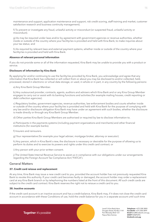<span id="page-15-0"></span>maintenance and support, application maintenance and support, risk credit scoring, staff training and market, customer satisfaction research and business continuity management).

f) To prevent or investigate any fraud, unlawful activity or misconduct (or suspected fraud, unlawful activity or misconduct).

g) As may be required under laws and/or by agreement with government agencies or revenue authorities, whether inside or outside of the country where your facility/ies is provided and held with Kina Bank, to make inquiries about your tax status; and

h) As required by relevant laws and external payment systems, whether inside or outside of the country where your facility/ies is provided and held with Kina Bank.

#### **Absence of relevant personal information**

If you do not provide some or all of the information requested, Kina Bank may be unable to provide you with a product or service.

#### **Disclosure of information by Kina Bank**

By applying for and/or continuing to use the facility/ies provided by Kina Bank, you acknowledge and agree that any information that Kina Bank has collected or will collect from or about you may be disclosed to and/or collected, held, processed, stored in electronic or virtual data storage, or used, in whole or in part, in any country by the following persons:

a) Any Kina Bank Group Member.

b) Any outsourced provider, contracts, agents, auditors and advisers which Kina Bank and or any Kina Group Member engages to carry out or assist with its banking functions and activities (for example mailing houses, credit reporting or debt collection agencies).

c) Regulatory bodies, government agencies, revenue authorities, law enforcement bodies and courts whether inside or outside of the country where your facility/ies is provided and held with Kina Bank for the purpose of complying with any law and/or disclosure obligation Kina Bank may have under an agreement with such bodies, whether the disclosure is made directly or through any Kina Bank Group Member.

d) Other parties Kina Bank Group Members are authorised or required by law to disclose information to.

e) Participants in the payments systems (including payment organizations and merchants) and other financial institutions (for example banks).

f) Insurers and reinsurers.

g) Your representative (for example your legal adviser, mortgage broker, attorney or executor).

h) Any person, which in Kina Bank's view, the disclosure is necessary or desirable for the purpose of allowing us to perform its duties and to exercise its powers and rights under this credit card contract; or

i) Any person with your prior written consent.

j) The United State Internal Revenue Service to assist us in compliance with our obligations under our arrangements regarding the Foreign Account Tax Compliance Act ("FATCA").

# General Matters

# **37. Credit card reissue and replacement**

At any time, Kina Bank may issue a new credit card to you, provided the account holder has not previously requested Kina Bank to revoke this authority. If your credit card becomes faulty or damaged, the account holder may order a replacement card at any Kina Bank branch or by telephoning the numbers listed at the front of this document. All such credit cards are subject to the credit card contract. Kina Bank reserves the right not to reissue a credit card to you.

#### **38. Inactive accounts**

If the credit card account is an inactive account and has a credit balance, Kina Bank may, if it does not close the credit card account in accordance with these Conditions of use, hold the credit balance for you in a separate account until such time

Together it's possible

Level 9, Kina Bank Haus Douglas Street, PO Box 1141 Port Moresby NCD 121 Papua New Guinea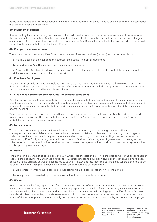as the account holder claims those funds or Kina Bank is required to remit those funds as unclaimed money in accordance with the law, whichever occurs first.

# **39. Statement of balance**

A letter sent by Kina Bank, stating the balance of the credit card account, will be prima facie evidence of the amount of the account holder's liability to Kina Bank at the date of the certificate. This letter may not include transactions charges (including fees) or payments that have not been processed by Kina Bank at the time the letter is prepared. This letter will be sent to the account holder for the Credit Cards.

#### **40. Change of name or address**

The account holder must notify Kina Bank of any changes of name or address (or both) as soon as possible by:

- a) Mailing details of the change to the address listed at the front of this document.
- b) Attending any Kina Bank branch and the changed details; or

c) Advising the Kina Bank Cardholder Enquiries by phone on the number listed at the front of this document of the details of any change (change of address only).

#### **41. Kina Bank Employees**

Kina Bank may provide credit to its employees on terms that are more favourable that this available to other customers. If Kina Bank does so, certain parts of the Consumer Credit Act (and the notice titled "Things you should know about your proposed credit contract") will not apply to such credit.

#### **42. Kina Banks right to combine accounts (for personal cards only)**

Kina Bank may combine the balances to two or more of the account holder's accounts, even if the accounts are not both credit card accounts or if they are held at different branches. This may happen when one of the account holder's account is in credit. This means, for example, that the credit balance in one account can be used to repay the debit balance in another account.

When accounts have been combined, Kina Bank will promptly inform the account owner(s). Kina Bank does not need to give notice in advance. The account holder should not treat his/her accounts as combined unless Kina Bank has undertaken or agreed to such an arrangement.

#### **43. Force majeure**

To the extent permitted by law, Kina Bank will not be liable to you for any loss or damage (whether direct or consequential), nor be in default under the credit card contract, for failure to observe or perform any of its obligations under the credit card contract for any reason or cause which could not, with reasonable diligence, be controlled or prevented by Kina Bank, including but not limited to acts of God, acts of nature, acts of government or their agencies, strikes or other industrial action, fire, flood, storm, riots, power shortages or failures, sudden or unexpected system failure or disruption by war or shortage.

#### **44. Notice**

Kina Bank can deliver a notice to you personally, in which case the date of delivery is the date on which the account holder received the notice. If Kina Bank mails a notice to you, notice is taken to have been given on the day it would have been delivered in the ordinary course of post mailed to your last known address recorded at Kina Bank. Where permitted to do so by law, Kina Bank may provide you with a notice, other documents or information:

- a) Electronically to your email address, or other electronic mail address, last known to Kina Bank; or
- b) To any person nominated by you to receive such notices, documents or information.

#### **45. Waiver**

Waiver by Kina Bank of any rights arising from a breach of the terms of the credit card contract or of any rights or powers arising under the credit card contract must be in writing signed by Kina Bank. A failure or delay by Kina Bank in exercise, or partial exercise, of a right or power under the credit card contract must be in writing signed by Kina Bank. A failure or delay by Kina Bank in exercise, or partial exercise of a right or power under the credit card contract does not result in a waiver of that right or power. You may not rely on any conduct, representation or statement by Kina Bank or its employees

Together it's possible

Level 9, Kina Bank Haus Douglas Street, PO Box 1141 Port Moresby NCD 121 Papua New Guinea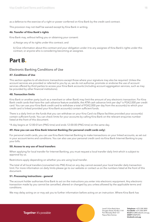<span id="page-17-0"></span>as a defence to the exercise of a right or power conferred on Kina Bank by the credit card contract.

This provision may not itself be waived except by Kina Bank in writing.

#### **46. Transfer of Kina Bank's rights**

Kina Bank may, without telling you or obtaining your consent:

a) Assign any of its rights under this contract; and

b) Give information about this contract and your obligation under it to any assignee of Kina Bank's rights under this contract, or anyone who is considering becoming an assignee.

# **Part B.**

# Electronic Banking Conditions of Use

# **47. Conditions of Use**

This section applies to all electronic transactions except those where your signature may also be required. Unless the account services are provided or referred to you by us, we do not authorise, promote or endorse the use of account services offered by third parties to access your Kina Bank accounts (including account aggregation services, such as may be provided by other financial institutions).

# **48. Transaction limits**

Kina Bank or another party (such as a merchant or other Bank) may limit the amount of any electronic transaction. For Kina Bank credit cards that have the cash advance feature available, the ATM cash advance limit per day\* is PGK2,000 per credit card. You can use your Kina Bank credit card to withdraw a total of PGK2,000 per day from the account(s) to which your credit card is linked provided your Kina Bank account(s) contain sufficient funds.

There is a daily limit on the funds that you can withdraw on your Kina Card via Eftpos facilities provided your account(s) contain sufficient funds. You can check limits for your accounts by calling Kina Bank on the relevant enquiries number listed at the front of this document.

\*A day begins at 12:00:01am (PNG time) and ends 12:00:00 (PNG time) on the same day.

# **49. How you can use Kina Bank Internet Banking (for personal credit cards only)**

For personal credit cards, you can use Kina Bank Internet Banking to make transactions on your linked accounts, as set out in your account terms and conditions. You can also use your personal credit card via Kina Bank Internet Banking to pay your bills.

# **50. Access to any use of local transfers**

When applying for local transfer for Internet Banking, you must request a local transfer daily limit which is subject to approval by us.

Restrictions apply depending on whether you are using local transfer.

The total of all local transfers (converted into PNG Kina) on any day cannot exceed your local transfer daily transaction limit. For more information on daily limits please go to our website or contact us on the numbers listed at the front of this document.

# **51. Processing instructions - general**

The account holder authorises Kina Bank to act on the instructions you enter into electronic equipment. Any electronic transaction made by you cannot be cancelled, altered or changed by you unless allowed by the applicable terms and conditions.

We may delay acting on or may ask you to further information before acting on an instruction. Where Kina Bank has

Level 9, Kina Bank Haus Douglas Street, PO Box 1141 Port Moresby NCD 121 Papua New Guinea

**Telephone** +675 308 3800 **Facsilmile** +675 308 3899 **Email** kina@kinabank.com.pg **SWIFT** KINIPGPG **kinabank.com.pg**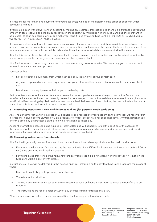instructions for more than one payment form your account(s), Kina Bank will determine the order of priority in which payments are made.

If you make a cash withdrawal from an account by making an electronic transaction and there is a difference between the amount of cash received and the amount shown on the receipt, you must report this to Kina Bank and the merchant (if applicable) as soon as possible or you can make your report to us by calling Kina Bank on 180 1525 or (675) 308 3800, twenty-four (24) hours, seven (7) days a week.

If you make a deposit of funds to an account by making an electronic transaction and there is a difference between the amount recorded as having been deposited and the amount Kina Bank receives, the account holder will be notified of the difference as soon as possible and will be advised of the actual amount which has been credited to the account.

Kina Bank is not liable for the refusal of any merchant to accept an electronic transaction and, to the extent permitted by law, is not responsible for the goods and services supplied by a merchant.

Kina Bank refuses to process any transaction that contravenes any law or otherwise. We may notify you of the electronic transactions we are unable to process.

You accept that:

- Not all electronic equipment from which cash can be withdrawn will always contain cash.
- Any cash dispensed at electronic equipment is at your risk once it becomes visible or available for you to collect; and
- Not all electronic equipment will allow you to make deposits.

An immediate transfer or local transfer cannot be revoked or stopped once we receive your instruction. Future dated transfer or, local transfer instruction can only be revoked or changed if instruction to delete the transaction are given to us two (2) Kina Bank working days before the transaction is scheduled to occur. After this time, the instruction is scheduled to occur. After this time, the instruction cannot be revoked.

#### **52. Processing instructions - Kina Bank internet Banking (for personal credit cards only)**

Any Kina Bank Internet Banking instruction will generally be processed to your account on the same day we receive your instructions, if given before 2:00pm PNG time Monday to Friday (except national public holidays). Any transaction made after this time may be processed on the following Kina Bank business day.

Account information accessed using Kina Bank Internet Banking will generally reflect the position of the account at the time, except for transactions not yet processed by us (including uncleared cheques and unprocessed credit card transactions) or cleared cheques and direct debits processed by us that day.

#### **53. Processing instructions – funds transfer**

Kina Bank will generally process funds and local transfer instructions (where applicable to the credit card account):

- For immediate local transfers, on the day the instruction is given, if Kina Bank receives the instruction before 2:00pm PNG time on a Kina Bank working day; and
- For future dated transfers, on the relevant future day you select if it is a Kina Bank working day (or if it is not, on the Kina Bank working day after that day).

Instructions you give will be delivered to the payee's financial institution on the day that Kina Bank processes them except where:

- Kina Bank is not obliged to process your instructions.
- There is a technical failure.
- There is a delay or error in accepting the instructions caused by financial institution to which the transfer is to be made; or
- The instructions are for a transfer by way of any overseas draft or international draft.

Where your instruction is for a transfer by way of Kina Bank issuing an international draft:

Together it's possible

Level 9, Kina Bank Haus Douglas Street, PO Box 1141 Port Moresby NCD 121 Papua New Guinea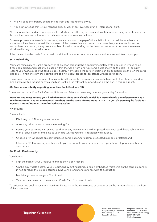- We will send the draft by post to the delivery address notified by you.
- You acknowledge that is your responsibility by way of any overseas draft or international draft.

We cannot control (and are not responsible for) when, or if, the payee's financial institution processes your instructions or the fees that financial institutions may charge to process your instructions.

Once we process your transfer instructions, we are reliant on the payee's financial institution to advise whether your instructions have been successfully processed. If the payee's financial institution advises that your transfer instruction has not been successful, it may take a number of weeks, depending on the financial institution, to reverse the relevant withdrawal from your linked account.

If the transfer is to be made from a credit card, it will be treated as a cash advance and interest and fees may apply.

#### **54. Card validity**

Your card remains Kina Bank's property at all times. A card must be signed immediately by the person in whose name it has been issued and must only be used within the 'valid from' and 'until end' dates shown on the card. For security reasons you must, as soon the card expires, destroy it by cutting the card (including an embedded microchip on the card) diagonally in half or return the expired card to a Kina Bank branch for assistance with its destruction.

The account holder or in the case of Business Credit Cards, the Principal may cancel a Kina Bank at any time by sending Kina Bank a written request or by calling Kina Bank on the relevant numbers listed on the back if this document.

#### **55. Your responsibility regarding your Kina Bank Card and PIN**

You must keep your Kina Bank Card and PIN secure. Failure to do so may increase your ability for any loss.

*Warning: You must not use your birth date or an alphabetical code, which is a recognizable part of your name as a PIN for example, '12345' or where all numbers are the same, for example, '11111'. If you do, you may be liable for any loss suffered from an unauthorized transaction.*

#### PIN security

You must not:

- Disclose your PIN to any other person.
- Allow any other person to see you entering PIN.
- Record your password PIN on your card or on any article carried with or placed near your card that is liable to loss, theft or abuse at the same time as your card (unless your PIN is reasonably disguised).
- Choose a PIN which has an easily retrieved combination, for example repeated numbers or letters; and
- Choose a PIN that is easily identified with you for example your birth date, car registration, telephone number or your name.

#### **56. Credit Card security**

You should:

- Sign the back of your Credit Card immediately upon receipt.
- On the expiry date destroy your Credit Card by cutting it (including an embedded microchip on the card) diagonally in half or return the expired card to a Kina Bank branch for assistance with its destruction.
- Not let anyone else use your Credit Card.
- Take reasonable steps to protect your Credit Card from loss of theft.

To assist you, we publish security guidelines. Please go to the Kina website or contact us on the numbers listed at the front of this document.

Together it's possible

Level 9, Kina Bank Haus Douglas Street, PO Box 1141 Port Moresby NCD 121 Papua New Guinea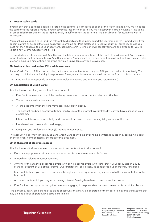#### **57. Lost or stolen cards**

If you report that a card has been lost or stolen the card will be cancelled as soon as the report is made. You must not use the card once the report is made. If you recover the lost or stolen card, you must destroy the card by cutting it (including an embedded microchip on the card) diagonally in half or return the card to a Kina Bank branch for assistance with its destruction.

You must make a report to us (and the relevant third party, if a third party issued the username or PIN) immediately if you become aware or suspect that your password, username or PIN is disclosed or used without your authority or lost. You must not then continue to use your password, username or PIN. Kina Bank will cancel your card and arrange for you to select a new username, password or PIN.

To report a lost or stolen card call Kina Bank on the telephone numbers listed at the front of this document. You can also report the loss, theft or misuse to any Kina Bank branch. Your account terms and conditions will outline how you can make a report if Kina Bank's telephone reporting service is unavailable or you are overseas.

#### **58. Lost or stolen card and/or PIN – while overseas**

If your Credit Card or PIN is lost or stolen, or if someone else has found out your PIN, you must tell us immediately. The best way to minimize your liability is to phone us. Emergency phone numbers are listed at the front of this document.

• Kina Bank cannot provide an emergency replacement card and PIN until you return to PNG.

#### **59. Cancellation of Credit Cards**

Kina Bank may cancel any card without prior notice if:

- Kina Bank believes that use of the card may cause loss to the account holder or to Kina Bank.
- The account is an inactive account.
- All the accounts which the card may access have been closed.
- The account has been overdrawn (other than by use of the informal overdraft facility), or you have exceeded your credit limit.
- If Kina Bank becomes aware that you do not meet or cease to meet, our eligibility criteria for the card;
- Laws have been broken with card usage, or
- On giving you not less than three (3) months written notice.

The account holder may cancel a Kina Bank Credit Card at any time by sending a written request or by calling Kina Bank on the relevant number listed at the front of this document.

#### **60. Withdrawal of electronic access**

Kina Bank may withdraw your electronic access to accounts without prior notice if:

- Electronic equipment malfunction occurs or access is otherwise unavailable for use.
- A merchant refuses to accept your card.
- Any one of the attached accounts is overdrawn or will become overdrawn (other that if your account is an Equity Manager account by use of the informal Overdraft facility) or is otherwise considered out of order by Kina Bank.
- Kina Bank believes you access to accounts through electronic equipment may cause loss to the account holder or to Kina Bank.
- All the accounts which you may access using Internet Banking have been closed or are inactive; or
- Kina Bank suspects your of being fraudulent or engaging in inappropriate behavior, unless this is prohibited by law.

Kina Bank may at any time change the types of accounts that many be operated, or the types of electronic transactions that may be made through particular electronic terminals.

Together it's possible

Level 9, Kina Bank Haus Douglas Street, PO Box 1141 Port Moresby NCD 121 Papua New Guinea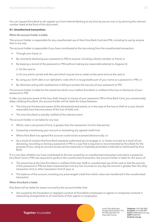You can request Kina Bank to de-register you from Internet Banking at any time by secure mail or by phoning the relevant number listed at the front of this document.

#### **61. Unauthorised transactions**

#### When the account holder is liable.

The account holder is responsible for any unauthorized use of their Kina Bank Card and PIN, including its use by anyone else in any way.

The account holder is responsible if you have contributed to the loss arising from the unauthorised transaction:

- Through your fraud, or
- By voluntarily disclosing your password or PIN to anyone, including a family member or friend, or
- By keeping a record of the password or PIN (without making any reasonable attempt to disguise it):
	- i) On the card or

ii) On any article carried with the card which may be lost or stolen at the same time as the card or

- By using your birth date or an alphabetic code which is recognisable part of your name as a password or PIN; or
- By otherwise acting with carelessness in falling to protect the security of your password or PIN.

The account holder is liable for the actual loss which occur before Kina Bank is notified of the loss or disclosure of your password or PIN.

If, after you become aware of the loss, theft, breach or misuse of your password, PIN or Kina Bank Card, you unreasonably delay notifying Kina Bank, the account holder will be liable for losses between:

- The time you first become aware of the aforementioned events, or in the case of the loss or theft of a card, should reasonably have become aware of the loss of theft; and
- The time Kina Bank is actually notified of the relevant event.

The account holder is not liable for any loss:

- Which, over a set period of time, is greater than the transaction limit for that period.
- Caused by overdrawing your account or exceeding any agreed credit limit.
- Where Kina Bank has agreed the account could not be accessed electronically; or
- As a result of conduct that Kina Bank expressly authorised you to engage in, or losses incurred as a result of you disclosing, recording or storing a password or PIN in a way that is required or recommended by Kina Bank for the purpose of you using an account access service expressly or impliedly promoted, endorsed or authorized by Kina Bank.

If it is not clear whether you have contributed to the loss caused by an unauthorised transaction and where a password, Kina Bank Card or PIN was required to perform the unauthorised transaction, the account holder is liable for the lessor of:

- The actual loss at the time Kina Bank is notified of the loss, theft or unauthorised use of the card or that the security of the password or PIN has been breached (but not any loss incurred on any day the amount is greater than the daily transaction limit or other transaction limit (if any); or
- The balance of the account, including any prearranged credit from which value was transferred in the unauthorised transaction.

# When Kina Bank is liable

Kina Bank will be liable for losses incurred by the account holder that:

• Are caused by the fraudulent or negligent conduct of Kina Bank's employees or agents or companies involved in networking arrangements or of merchants of their agents or employees.

> Level 9, Kina Bank Haus Douglas Street, PO Box 1141 Port Moresby NCD 121 Papua New Guinea

**Telephone** +675 308 3800 **Facsilmile** +675 308 3899 **Email** kina@kinabank.com.pg **SWIFT** KINIPGPG **kinabank.com.pg**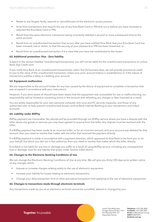- Relate to any forged, faulty, expired or cancelled part of the electronic access process.
- Arise from transactions that require the use of any Kina Bank Card or PIN that occur before you have received or selected the Kina Bank Card or PIN.
- Result from the same electronic transaction being incorrectly debited a second or more subsequent time to the same account.
- Result from an unauthorised transaction that occurs after you have notified Kina Bank that your Kina Bank Card has been misused, lost or stolen, or that the security of your password or PIN has been breached; or
- Result from an unauthorised transaction if it is clear that you have not contributed to the losses.

#### **62. Additional protection: Visa – Zero liability**

Subject to the section headed 'Unauthorised transactions' you will not be liable for the unauthorised transactions on a Kina Bank Visa Credit card.

If you notify Kina Bank of an unauthorised transaction(s), within five (5) business days, we will provide provisional credit to you to the value of the unauthorised transaction unless your prior account history is unsatisfactory or if the nature of transactions justifies a delay in crediting your account.

#### **63. Equipment malfunction**

We are responsible to the account holder for any loss caused by the failure of equipment to complete a transaction that was accepted in accordance with your instructions.

However, if you were aware of should have been aware that the equipment was unavailable for use or malfunctioning, our responsibility will be limited to correcting errors in the account and refunding any charges or fees imposed as a result.

You are solely responsible for your own personal computer anti-virus and PC security measures, and those of any authorised user, to help prevent unauthorised access via Kina Bank Internet Banking to your transactions and linked accounts.

#### **64. Liability under BillPay**

BillPay payment are irrevocable. No refunds will be provided through our BillPay service where you have a dispute with the biller about any goods or services you may have agreed to acquire from the biller. Any dispute must be resolved with the biller.

If a BillPay payment has been made to an incorrect biller, or for an incorrect amount, and your account was debited for that amount, then you need to resolve that matter with the biller that received the payment directly.

If a BillPay payment is made in accordance with a payment direction, which appeared to Kina Bank to be from you or on your behalf, but which you did not in fact authorise, then you need to resolve that matter which the biller directly.

Kina Bank is not liable for any loss or damage you suffer as a result of using BillPay service, including any consequential loss or damage, save for any liability that arises under Section 63(b) above.

# **65. Changes to the Electronic Banking Conditions of Use**

We can change the Electronic Banking Conditions of Use at any time. We will give you thirty (30) days prior written notice of any changes which;

- Impose or increase charges relating solely to the use of electronic equipment.
- Increase your liability for losses relating to electronic transactions.
- Change your daily transaction limit or other periodical transaction limit applying to the use of electronic equipment.

#### **66. Changes to transactions made through electronic terminals**

Any transactions made by you at an electronic terminal cannot be cancelled, altered or changed by you.

Level 9, Kina Bank Haus Douglas Street, PO Box 1141 Port Moresby NCD 121 Papua New Guinea

**Telephone** +675 308 3800 **Facsilmile** +675 308 3899 **Email** kina@kinabank.com.pg **SWIFT** KINIPGPG **kinabank.com.pg**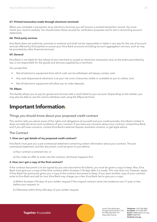#### <span id="page-23-0"></span>**67. Printed transaction made through electronic terminals**

When you complete a transaction at an electronic terminal you will receive a printed transaction record. You must check your record carefully. You should retain these records for verification purposes and to aid in reconciling account statements.

#### **68. Third party services**

Kina Bank does not authorize, promote or endorse and shall not be responsible or liable in any way for the use of account services offered by third parties to access your Kina Bank accounts (including account aggregation services, such as may be provided by other financial services).

#### **69. General**

Kina Bank is not liable for the refusal of any merchant to accept an electronic transaction and, to the extent permitted by law, is not responsible for the goods and services supplied by a merchant.

You accept that:

- Not all electronic equipment from which cash can be withdrawn will always contain cash.
- Any cash dispensed at electronic is at your risk once it becomes visible or available to you to collect; and
- Not all electronic equipment will allow you to make deposits.

#### **70. Eftpos**

This facility allows you to pay for goods and services with a card linked to your account. Depending on the retailer, you may also be able to use the card to withdraw cash using the Eftpos terminal.

# **Important Information.**

# Things you should know about your proposed credit contract

This section tells you about some of the rights and obligations of yourself and your credit provider, Kina Bank Limited. It does not state the terms and conditions of your contract. If you have any concerns about your contract, contact Kina Bank and if you still have concerns, contact Kina Bank's external dispute resolution scheme, or get legal advice.

# The Contract

# **1. How can I get details of my proposed credit contract?**

Kina Bank must give you a pre-contractual statement containing certain information about your contract. The precontractual statement, and this document, must be given to you before:

- a) Your contract is entered into; or
- b) You make an offer to enter into the contract, whichever happens first.

#### **2. How can I get a copy of the final contract?**

If the contract document is to be signed by you and returned to Kina Bank, you must be given a copy to keep. Also, Kina Bank must give you a copy of the final contract within fourteen (14) days after it is made. This rule does not, however, apply if Kina Bank has previously given you a copy of the contract document to keep. If you want another copy of your contract, write to Kina Bank and ask for one. Kina Bank may charge you a fee. Kina Bank has to give you a copy:

- a) Within fourteen (14) days of your written request if the original contract came into existence one (1) year or less before your request; or
- b) Otherwise within thirty (30) days of your written request.

Level 9, Kina Bank Haus Douglas Street, PO Box 1141 Port Moresby NCD 121 Papua New Guinea

**Telephone** +675 308 3800 **Facsilmile** +675 308 3899 **Email** kina@kinabank.com.pg **SWIFT** KINIPGPG **kinabank.com.pg**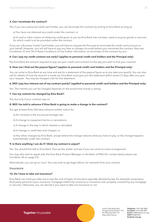#### <span id="page-24-0"></span>**3. Can I terminate the contract?**

Yes, if you are a personal credit card holder, you can terminate the contract by writing to Kina Bank as long as:

a) You have not obtained any credit under the contract; or

b) A card or other means of obtaining credit given to you by Kina Bank has not been used to acquire goods or services for which credit is to be provided under the contract.

If you are a Business Credit Card holder, you will have to request the Principal to terminate the credit card account on your behalf. However, you will still have to pay any fees or charges incurred before your terminate the contract. Also see Conditions 33 and 34 of these Conditions of Use further information on terminate of the contract by you.

#### **4. Can I pay my credit contract out early? (applies to personal credit card holders and the Principal only)**

Pay Kina Bank the amount required to pay out your credit card contract on the day you wish to end your contract.

#### **5. How can I find out the payout figure? (applies to personal credit card holders and the Principal only)**

You can write to Kina Bank at any time and ask for a statement of the payout figure as at any date you specify. You can also ask for details of how the amount is made up. Kina Bank must give you the statement within seven (7) days after you give your request. You may be charged a fee for the statement.

#### **6. Will I pay less interest out of my contract yearly? (applied to personal credit card holders and the Principal only)**

Yes. The interest you can be charged depends on the actual time money is owing.

#### **7. Can my contract be changed by Kina Bank?**

Yes, but only if your contract says so.

#### **8. Will I be told in advance if Kina Bank is going to make a change in the contract?**

You get at least thirty (30) days advance written notice for:

- a) An increase to the annual percentage rate.
- b) A change to repayment terms or calculations.
- c) A change in the way in which interest is calculated.

d) A change in credit fees and charges; or

e) Any other changes by Kina Bank, except where the change reduces what you have to pay, or the change happens automatically under the contract.

#### **9. Is there anything I can do if I think my contract is unjust?**

Yes. You should first talk to Kina Bank. Discuss the matter and see if you can come to some arrangement.

You may also wish to speak with the Kina Bank Product Manager or the Bank of PNG (for contact detail please see Condition 30 on page 23).

Alternatively, you can go to court. You may wish to get legal advice, for example from your solicitor.

#### Insurance

#### **10. Do I have to take out insurance?**

Kina Bank can insist you take out or pay the cost of types of insurance specially allowed by law, for example compulsory third-party personal injury insurance, mortgage indemnity insurance or insurance over property covered by any mortgage or security. Otherwise, you can decide if you want to take out insurance or not.

> Level 9, Kina Bank Haus Douglas Street, PO Box 1141 Port Moresby NCD 121 Papua New Guinea

**Telephone** +675 308 3800 **Facsilmile** +675 308 3899 **Email** kina@kinabank.com.pg **SWIFT** KINIPGPG **kinabank.com.pg**